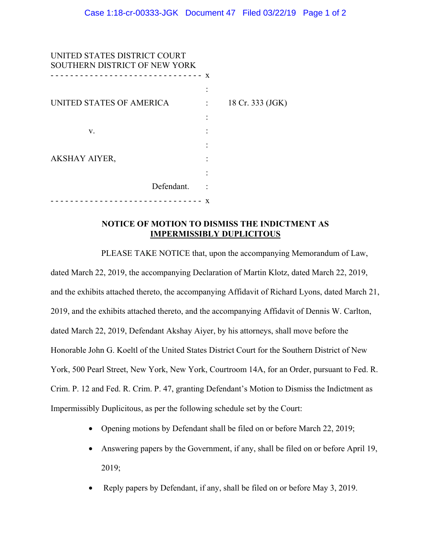| UNITED STATES DISTRICT COURT<br>SOUTHERN DISTRICT OF NEW YORK |            |   |                  |
|---------------------------------------------------------------|------------|---|------------------|
|                                                               |            | X |                  |
| UNITED STATES OF AMERICA                                      |            |   | 18 Cr. 333 (JGK) |
|                                                               |            |   |                  |
| V.                                                            |            |   |                  |
|                                                               |            |   |                  |
| <b>AKSHAY AIYER,</b>                                          |            |   |                  |
|                                                               |            |   |                  |
|                                                               | Defendant. |   |                  |
|                                                               |            | X |                  |

## **NOTICE OF MOTION TO DISMISS THE INDICTMENT AS IMPERMISSIBLY DUPLICITOUS**

PLEASE TAKE NOTICE that, upon the accompanying Memorandum of Law, dated March 22, 2019, the accompanying Declaration of Martin Klotz, dated March 22, 2019, and the exhibits attached thereto, the accompanying Affidavit of Richard Lyons, dated March 21, 2019, and the exhibits attached thereto, and the accompanying Affidavit of Dennis W. Carlton, dated March 22, 2019, Defendant Akshay Aiyer, by his attorneys, shall move before the Honorable John G. Koeltl of the United States District Court for the Southern District of New York, 500 Pearl Street, New York, New York, Courtroom 14A, for an Order, pursuant to Fed. R. Crim. P. 12 and Fed. R. Crim. P. 47, granting Defendant's Motion to Dismiss the Indictment as Impermissibly Duplicitous, as per the following schedule set by the Court:

- Opening motions by Defendant shall be filed on or before March 22, 2019;
- Answering papers by the Government, if any, shall be filed on or before April 19, 2019;
- Reply papers by Defendant, if any, shall be filed on or before May 3, 2019.